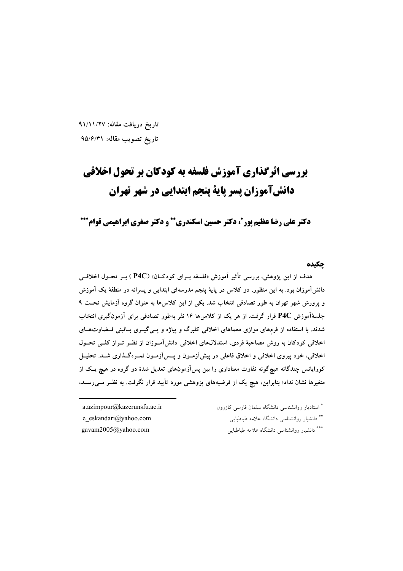تاريخ دريافت مقاله: ٩١/١١/٢٧ تاریخ تصویب مقاله: ۹۵/۶/۳۱

# بررسی اثرگذاری آموزش فلسفه به کودکان بر تحول اخلاقی دانش آموزان پسر پایة پنجم ابتدایی در شهر تهران

دکتر علی رضا عظیم یور ً، دکتر حسین اسکندری \*\* و دکتر صغری ایراهیمی قوام\*\*\*

## حكىده

هدف از این پژوهش، بررسی تأثیر آموزش «فلسفه بـرای کودکـان» (P4C ) بــر تحــول اخلاقــی دانش[موزان بود. به این منظور، دو کلاس در پایهٔ پنجم مدرسهای ابتدایی و پسرانه در منطقهٔ یک آموزش و پرورش شهر تهران به طور تصادفی انتخاب شد. یکی از این کلاسها به عنوان گروه آزمایش تحت ۹ جلسهٔآموزش P4C قرار گرفت. از هر یک از کلاس۱۶ نفر بهطور تصادفی برای آزمونگیری انتخاب شدند. با استفاده از فرمهای موازی معماهای اخلاقی کلبرگ و پیاژه و پسی گیــری بــالینی قــضاوتهــای اخلاقی کودکان به روش مصاحبهٔ فردی، استدلالهای اخلاقی دانشآموزان از نظـر تـراز کلــی تحــول اخلاقی، خود پیروی اخلاقی و اخلاق فاعلی در پیشآزمـون و پــسآزمـون نمــرهگــذاری شــد. تحليــل کورایانس چندگانه هیچگونه تفاوت معناداری را بین پسآزمونهای تعدیل شدهٔ دو گروه در هیچ یـک از متغیرها نشان نداد؛ بنابراین، هیچ یک از فرضیههای یژوهشی مورد تأیید قرار نگرفت. به نظـر مــی(سـد،

a.azimpour@kazerunsfu.ac.ir e eskandari@yahoo.com gavam2005@yahoo.com

\* استادیار روانشناسی دانشگاه سلمان فارسی کازرون \*\* دانشیار روانشناسی دانشگاه علامه طباطبایی \*\*\* دانشبار روانشناسی دانشگاه علامه طباطبایی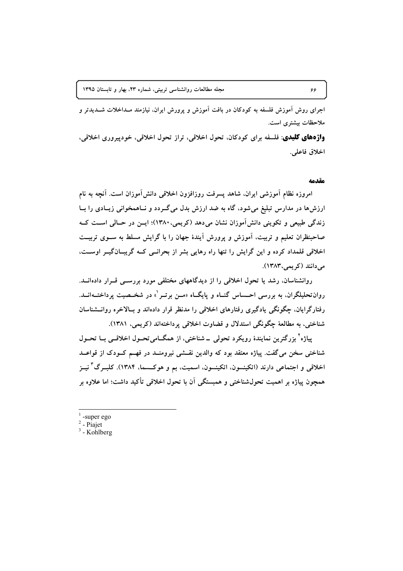اجرای روش آموزش فلسفه به کودکان در بافت آموزش و یرورش ایران، نیازمند مـداخلات شــدیدتر و ملاحظات بیشتری است.

**واژههای کلیدی**: فلسفه برای کودکان، تحول اخلاقی، تراز تحول اخلاقی، خودپیروری اخلاقی، اخلاق فاعلى.

#### مقدمه

امروزه نظام آموزشی ایران. شاهد پسرفت روزافزون اخلاقی دانش[موزان است. آنچه به نام ارزشها در مدارس تبلیغ میشود، گاه به ضد ارزش بدل میگـردد و نــاهمخوانی زیــادی را بــا زندگی طبیعی و تکوینی دانش آموزان نشان میدهد (کریمی،۱۳۸۰)؛ ایــن در حــالی اســت کــه صاحبنظران تعلیم و تربیت، آموزش و یرورش آیندهٔ جهان را با گرایش مسلط به ســوی تربیــت اخلاقی قلمداد کرده و این گرایش را تنها راه رهایی بشر از بحرانسی کـه گریبـانگیــر اوســت، می دانند (کریمی، ۱۳۸۳).

روانشناسان، رشد یا تحول اخلاقی را از دیدگاههای مختلفی مورد بررسبی قـرار دادهانــد. روان تحلیلگران، به بررسی احــساس گنــاه و پایگــاه «مــن برتــر ْ» در شخــصیت پرداختــهانــد. رفتارگرایان، چگونگی یادگیری رفتارهای اخلاقی را مدنظر قرار دادهاند و بـالاخره روانــشناسان شناختي، به مطالعهٔ چگونگي استدلال و قضاوت اخلاقي پرداختهاند (کريمي، ۱۳۸۱).

پياژه<sup>ا</sup> بزرگترين نمايندۀ رويکرد تحولمي \_ شناختي، از همگــاميتحــول اخلاقـــي بـــا تحــول شناختی سخن میگفت. پیاژه معتقد بود که والدین نقــشی نیرومنــد در فهــم کــودک از قواعــد اخلاقی و اجتماعی دارند (اتکینسون، اتکینسون، اسمیت، بم و هوکــــما، ۱۳۸۴). کلبــرگ ٌ نیــز همچون پیاژه بر اهمیت تحولشناختی و همبستگی آن با تحول اخلاقی تأکید داشت؛ اما علاوه بر

-super ego

 $2$  - Piajet

 $3$  - Kohlberg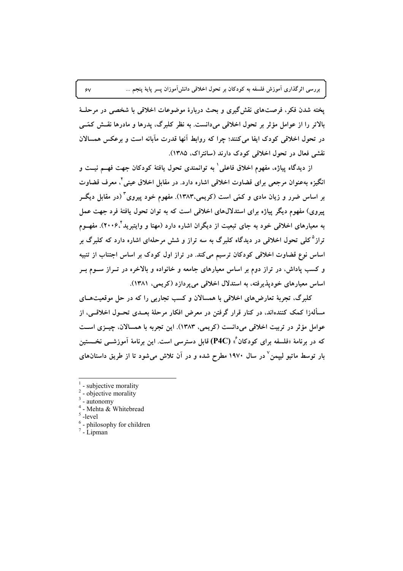یخته شدن فکر، فرصتهای نقش گیری و بحث دربارهٔ موضوعات اخلاقی با شخصی در مرحلـهٔ بالاتر را از عوامل مؤثر بر تحول اخلاقی میدانست. به نظر کلبرگ، پدرها و مادرها نقــش کمّــی در تحول اخلاقی کودک ایفا میکنند؛ چرا که روابط آنها قدرت مآبانه است و برعکس همسالان نقشی فعال در تحول اخلاقی کودک دارند (سانتراک، ۱۳۸۵).

از ديدگاه پياژه، مفهوم اخلاق فاعلى ٰ به توانمندي تحول يافتهٔ کودکان جهت فهــم نيــت و انگیزه بهعنوان مرجعی برای قضاوت اخلاقی اشاره دارد. در مقابل اخلاق عینی<sup>۲</sup>، معرف قضاوت بر اساس ضرر و زیان مادی و کمّی است (کریمی،۱۳۸۳). مفهوم خود پیروی ّ (در مقابل دیگــر پیروی) مفهوم دیگر پیاژه برای استدلالهای اخلاقی است که به توان تحول یافتهٔ فرد جهت عمل به معیارهای اخلاقی خود به جای تبعیت از دیگران اشاره دارد (مهتا و وایتبرید"۲۰۰۶). مفهــوم تراز<sup>۵</sup>کلی تحول اخلاقی در دیدگاه کلبرگ به سه تراز و شش مرحلهای اشاره دارد که کلبرگ بر اساس نوع قضاوت اخلاقی کودکان ترسیم میکند. در تراز اول کودک بر اساس اجتناب از تنبیه و کسب پاداش، در تراز دوم بر اساس معیارهای جامعه و خانواده و بالاخره در تــراز ســوم بــر اساس معیارهای خودپذیرفته، به استدلال اخلاقی میپردازد (کریمی، ۱۳۸۱).

کلبرگ، تجربهٔ تعارضهای اخلاقی با همسالان و کسب تجاربی را که در حل موقعیتهــای مسألهزا کمک کنندهاند، در کنار قرار گرفتن در معرض افکار مرحلهٔ بعــدی تحــول اخلاقــی، از عوامل مؤثر در تربیت اخلاقی می،دانست (کریمی، ۱۳۸۳). این تجربه با همسالان، چیــزی اســت که در برنامهٔ «فلسفه برای کودکان ٌ» (P4C) قابل دسترسی است. این برنامهٔ آموزشــی نخــستین بار توسط ماتیو لیپمن ٌ در سال ۱۹۷۰ مطرح شده و در آن تلاش میشود تا از طریق داستانهای

 $\hat{\mathsf{y}}$ 

<sup>-</sup> subjective morality

 $2$  - objective morality

 $3$  - autonomy

 $4$  - Mehta & Whitebread

 $\degree$ -level

 $6$  - philosophy for children

 $7 - \tilde{L}$ ipman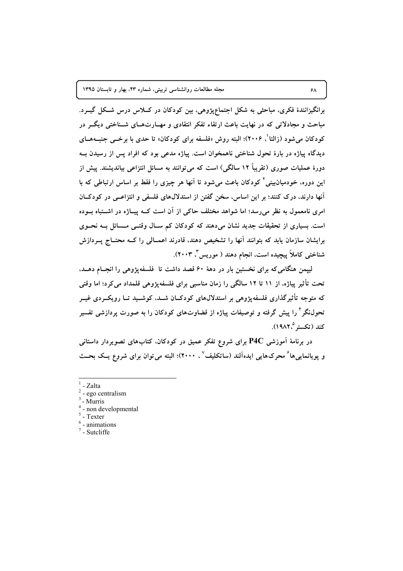برانگیزانندهٔ فکری، مباحثی به شکل اجتماعپژوهی، بین کودکان در کللاس درس شکل گیــرد. مباحث و مجادلاتی که در نهایت باعث ارتقاء تفکر انتقادی و مهــارتهــای شــناختی دیگــر در کودکان می شود (زالتا<sup>۰</sup>، ۲۰۰۶)؛ البته روش «فلسفه برای کودکان» تا حدی با برخــی جنبــههــای دیدگاه پیاژه در بارهٔ تحول شناختی ناهمخوان است. پیاژه مدعی بود که افراد پس از رسیدن بـه دورهٔ عملیات صوری (تقریباً ۱۲ سالگی) است که می توانند به مسائل انتزاعی بیاندیشند. پیش از این دوره، خودمیان،بینی کودکان باعث می شود تا آنها هر چیزی را فقط بر اساس ارتباطی که با آنها دارند، درک کنند؛ بر این اساس، سخن گفتن از استدلالهای فلسفی و انتزاعـبی در کودکــان امری نامعمول به نظر می رسد؛ اما شواهد مختلف حاکی از آن است کــه پیــاژه در اشــتباه بــوده است. بسیاری از تحقیقات جدید نشان میدهند که کودکان کم سـال وقتـبی مــسائل بــه نحــوی برایشان سازمان یابد که بتوانند آنها را تشخیص دهند، قادرند اعمــالمی را کــه محتــاج پــردازش شناختی کاملاً پیچیده است، انجام دهند ( موریس ٌ، ۲۰۰۳).

لییمن هنگامی که برای نخستین بار در دههٔ ۶۰ قصد داشت تا فلسفه پژوهی را انجـام دهـد، تحت تأثیر پیاژه، از ۱۱ تا ۱۲ سالگی را زمان مناسبی برای فلسفهپژوهی قلمداد میکرد؛ اما وقتی که متوجه تأثیرگذاری فلسفهپژوهی بر استدلالهای کودکـان شــد، کوشــید تــا رویکــردی غیــر تحولنگر<sup>۴</sup> را پیش گرفته و توصیفات پیاژه از قضاوتهای کودکان را به صورت پردازش*ی* تفسیر كند (تكستر 1۹۸۲<sup>°)</sup>.

در برنامهٔ اَموزشی P4C برای شروع تفکر عمیق در کودکان، کتابهای تصویردار داستانی و یویانماییها<sup>۶</sup> محرکهایی ایدهآلند (ساتکلیف<sup>۷</sup> ، ۲۰۰۰)؛ البته میتوان برای شروع یـک بحــث

 $4$  - non developmental

 $5\lambda$ 

 $1$  - Zalta

 $2$  - ego centralism

 $3$  - Murris

 $\degree$  - Texter

 $<sup>6</sup>$  - animations</sup>

 $7$  - Sutcliffe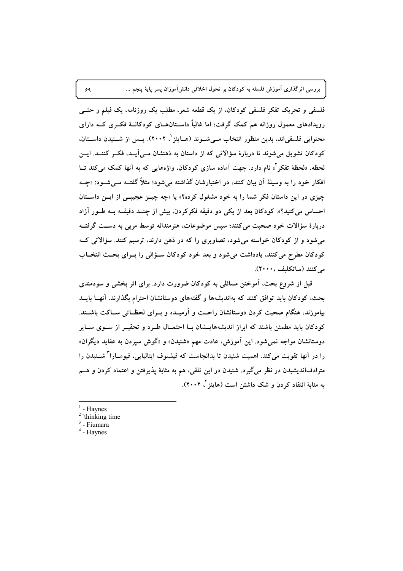فلسفی و تحریک تفکر فلسفی کودکان. از یک قطعه شعر، مطلب یک روزنامه، یک فیلم و حتــی رویدادهای معمول روزانه هم کمک گرفت؛ اما غالباً داســتانهــای کودکانــهٔ فکــری کــه دارای محتوایی فلسفیاند، بدین منظور انتخاب مــیشــوند (هــاینز \ ۲۰۰۲). پــس از شــنیدن داســتان، کودکان تشویق می شوند تا دربارهٔ سؤالاتی که از داستان به ذهنشان مـی آیـد، فکـر کننـد. ایــن لحظه، «لحظهٔ تفکر <sup>۲</sup>» نام دارد. جهت آماده سازی کودکان، واژههایی که به آنها کمک می کند تــا افکار خود را به وسیلهٔ آن بیان کنند، در اختیارشان گذاشته می شود؛ مثلاً گفتــه مــی شــود: «چــه چیزی در این داستان فکر شما را به خود مشغول کرده؟» یا «چه چیــز عجیبــی از ایــن داســتان احساس مي كنيد؟». كودكان بعد از يكي دو دقيقه فكركردن، بيش از چنــد دقيقــه بــه طــور آزاد دربارهٔ سؤالات خود صحبت میکنند؛ سپس موضوعات، هنرمندانه توسط مربی به دسـت گرفتــه می شود و از کودکان خواسته می شود، تصاویری را که در ذهن دارند، ترسیم کنند. سؤالاتی کـه کودکان مطرح میکنند، یادداشت می شود و بعد خود کودکان سـؤالی را بـرای بحـث انتخـاب مى كنند (ساتكلىف ، ٢٠٠٠).

قبل از شروع بحث، آموختن مسائلی به کودکان ضرورت دارد. برای اثر بخشی و سودمندی بحث، کودکان باید توافق کنند که بهاندیشهها و گفتههای دوستانشان احترام بگذارند. آنهــا بایــد بیاموزند، هنگام صحبت کردن دوستانشان راحـت و آرمیــده و بــرای لحظــاتی ســاکت باشــند. کودکان باید مطمئن باشند که ابراز اندیشههایسشان بـا احتمـال طـرد و تحقیـر از سـوی سـایر دوستانشان مواجه نمی شود. این آموزش، عادت مهم «شنیدن» و «گوش سپردن به عقاید دیگران» را در آنها تقويت مي كند. اهميت شنيدن تا بدانجاست كه فيلسوف ايتاليايي، فيومــارا ً شــنيدن را مترادفانديشيدن در نظر مي گيرد. شنيدن در اين تلقي، هم به مثابهٔ پذيرفتن و اعتماد كردن و هــم به مثابهٔ انتقاد کردن و شک داشتن است (هاینز <sup>۴</sup>، ۲۰۰۲).

- Havnes
- $2$  thinking time
- $3$  Fiumara
- $4$  Haynes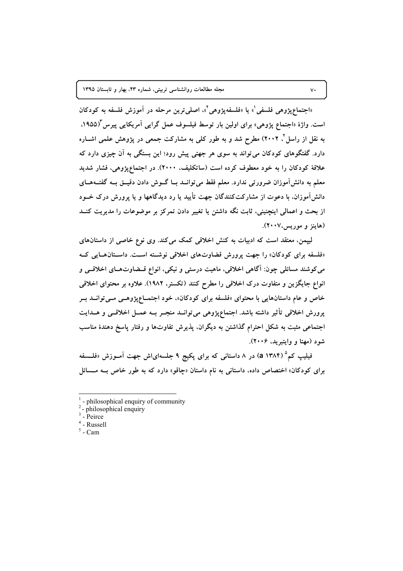«اجتماع پژوهی فلسفی'» یا «فلسفه پژوهی'»، اصلی ترین مرحله در آموزش فلسفه به کودکان است. واژهٔ «اجتماع پژوهی» برای اولین بار توسط فیلسوف عمل گرایی آمریکایی پیرس (۱۹۵۵. به نقل از راسل ٔ ۲۰۰۲) مطرح شد و به طور کلی به مشارکت جمعی در پژوهش علمی اشــاره دارد. گفتگوهای کودکان می تواند به سوی هر جهتی پیش رود؛ این بستگی به آن چیزی دارد که علاقهٔ کودکان را به خود معطوف کرده است (ساتکلیف، ۲۰۰۰). در اجتماعیژوهی، فشار شدید معلم به دانش آموزان ضرورتی ندارد. معلم فقط می توانسد بسا گسوش دادن دقیسق بسه گفتسههسای دانشآموزان، با دعوت از مشارکتکنندگان جهت تأیید یا رد دیدگاهها و یا پرورش درک خــود از بحث و اعمالی اینچنینی، ثابت نگه داشتن یا تغییر دادن تمرکز بر موضوعات را مدیریت کنــد (هاينز و موريس،٢٠٠٧).

لیپمن، معتقد است که ادبیات به کنش اخلاقی کمک می کند. وی نوع خاصی از داستان های «فلسفه برای کودکان» را جهت پرورش قضاوتهای اخلاقی نوشته است. داستان هایی که مي كوشند مسائلي چون: آگاهي اخلاقي، ماهيت درستي و نيكي، انواع قــضاوتهــاي اخلاقــي و انواع جایگزین و متفاوت درک اخلاقی را مطرح کنند (تکستر، ۱۹۸۲). علاوه بر محتوای اخلاقی خاص و عام داستانهایی با محتوای «فلسفه برای کودکان»، خود اجتمــاعپژوهــی مــیتوانــد بــر پرورش اخلاقی تأثیر داشته باشد. اجتماعپژوهی می توانــد منجــر بــه عمــل اخلاقــی و هــدایت اجتماعی مثبت به شکل احترام گذاشتن به دیگران. پذیرش تفاوتها و رفتار پاسخ دهندهٔ مناسب شود (مهتا و وايتبريد، ۲۰۰۶).

فیلیپ کم° (۱۳۸۴ a) در ۸ داستانی که برای پکیج ۹ جلسهایاش جهت آمــوزش «فلــسفه برای کودکان» اختصاص داده، داستانی به نام داستان «چاقو» دارد که به طور خاص بـه مـسائل

 $\mathsf{v}\cdot$ 

<sup>-</sup> philosophical enquiry of community

 $2$ -philosophical enquiry

 $3$  - Peirce

 $4$  - Russell

 $5$  - Cam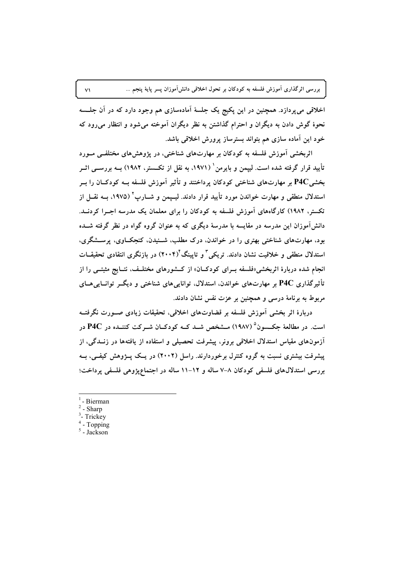اخلاقی می پردازد. همچنین در این پکیج یک جلسهٔ آمادهسازی هم وجود دارد که در آن جلـــــه نحوهٔ گوش دادن به دیگران و احترام گذاشتن به نظر دیگران آموخته میشود و انتظار میرود که خود این آماده سازی هم بتواند بسترساز پرورش اخلاقی باشد.

اثربخشی آموزش فلسفه به کودکان بر مهارتهای شناختی، در پژوهشهای مختلفـی مــورد تأیید قرار گرفته شده است. لییمن و بایرمن ٔ (۱۹۷۱، به نقل از تکــستر، ۱۹۸۲) بــه بررســی اثــر بخشی P4C بر مهارتهای شناختی کودکان پرداختند و تأثیر آموزش فلسفه بــه کودکــان را بــر استدلال منطقی و مهارت خواندن مورد تأیید قرار دادند. لیسیمن و شسارپ<sup>۲</sup> (۱۹۷۵، بسه نقسل از تکستر، ۱۹۸۲) کارگاههای آموزش فلسفه به کودکان را برای معلمان یک مدرسه اجـرا کردنــد. دانش آموزان این مدرسه در مقایسه با مدرسهٔ دیگری که به عنوان گروه گواه در نظر گرفته شــده بود، مهارتهای شناختی بهتری را در خواندن، درک مطلب، شــنیدن، کنجکــاوی، پرســشگری، استدلال منطقی و خلاقیت نشان دادند. تریکی ؓ و تایینگ ٔ(۲۰۰۴) در بازنگری انتقادی تحقیقــات انجام شده دربارهٔ اثربخشی«فلسفه بـرای کودکــان» از کــشورهای مختلــف، نتــایج مثبتــی را از تأثیرگذاری P4C بر مهارتهای خواندن. استدلال. تواناییهای شناختی و دیگــر توانــاییهــای مربوط به برنامهٔ درسی و همچنین بر عزت نفس نشان دادند.

دربارهٔ اثر بخشی اَموزش فلسفه بر قضاوتهای اخلاقی، تحقیقات زیادی صــورت نگرفتــه است. در مطالعهٔ جکسون<sup>۵</sup> (۱۹۸۷) مـشخص شـد کـه کودکـان شـرکت کننـده در P4C در آزمونهای مقیاس استدلال اخلاقی برونر، پیشرفت تحصیلی و استفاده از یافتهها در زنــدگی، از ییشرفت بیشتری نسبت به گروه کنترل برخوردارند. راسل (۲۰۰۲) در یـک پــژوهش کیفــی، بــه بررسی استدلالهای فلسفی کودکان ۸–۷ ساله و ۱۲–۱۱ ساله در اجتماعیژوهی فلسفی پرداخت؛

- Bierman
- Sharp
- <sup>3</sup>- Trickey
- Topping
- $5$  Jackson

 $\vee$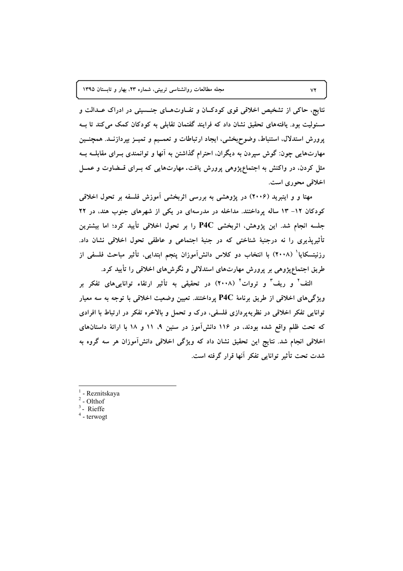نتایج، حاکی از تشخیص اخلاقی قوی کودکـان و تفـاوتهـای جنـسیتی در ادراک عــدالت و مسئولیت بود. یافتههای تحقیق نشان داد که فرایند گفتمان تقابلی به کودکان کمک می کند تا ب پرورش استدلال، استنباط، وضوح؛خشی، ایجاد ارتباطات و تعمــیم و تمیــز بپردازنــد. همچنــین مهارتهایی چون: گوش سپردن به دیگران، احترام گذاشتن به آنها و توانمندی بــرای مقابلـــه بــه مثل کردن، در واکنش به اجتماعپژوهی پرورش یافت. مهارتهایی که بـرای قــضاوت و عمــل اخلاقی محوری است.

مهتا و و ایتبرید (۲۰۰۶) در یژوهشی به بررسی اثربخشی آموزش فلسفه بر تحول اخلاقی کودکان ١٢- ١٣ ساله پرداختند. مداخله در مدرسهای در یکی از شهرهای جنوب هند، در ٢٢ جلسه انجام شد. این پژوهش، اثربخشی P4C را بر تحول اخلاقی تأیید کرد؛ اما بیشترین تأثیرپذیری را نه درجنبهٔ شناختی که در جنبهٔ اجتماعی و عاطفی تحول اخلاقی نشان داد. رزنیتسکایا ٔ (۲۰۰۸) با انتخاب دو کلاس دانش[موزان پنجم ابتدایی، تأثیر مباحث فلسفی از طریق اجتماعپژوهی بر پرورش مهارتهای استدلالی و نگرشهای اخلاقی را تأیید کرد.

التف' و ریف' و تروات' (۲۰۰۸) در تحقیقی به تأثیر ارتقاء تواناییهای تفکر بر ویژگیهای اخلاقی از طریق برنامهٔ P4C پرداختند. تعیین وضعیت اخلاقی با توجه به سه معیار توانایی تفکر اخلاقی در نظریهپردازی فلسفی، درک و تحمل و بالاخره تفکر در ارتباط با افرادی که تحت ظلم واقع شده بودند، در ۱۱۶ دانش آموز در سنین ۹، ۱۱ و ۱۸ با ارائهٔ داستانهای اخلاقی انجام شد. نتایج این تحقیق نشان داد که ویژگی اخلاقی دانش[موزان هر سه گروه به شدت تحت تأثير توانايي تفكر آنها قرار گرفته است.

- $<sup>1</sup>$  Reznitskaya</sup>
- $2$  Olthof
- $3$  Rieffe
- $4 -$  terwogt

 $VY$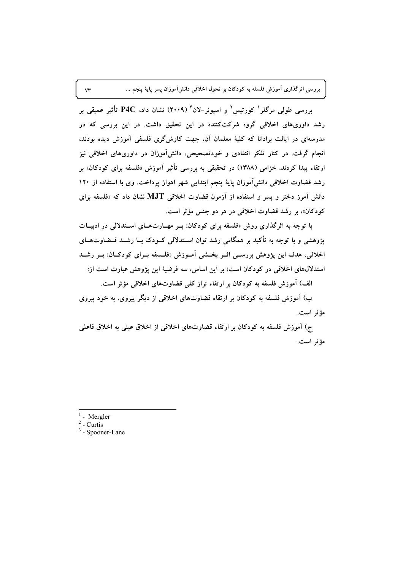بررسی طولی مرگلر<sup>ا</sup> کورتیس<sup>۲</sup> و اسپونر-لان<sup>۳</sup> (۲۰۰۹) نشان داد، P4C تأثیر عمیقی بر رشد داوریهای اخلاقی گروه شرکتکننده در این تحقیق داشت. در این بررسی که در مدرسهای در ایالت برادانا که کلیهٔ معلمان آن، جهت کاوش\$ری فلسفی آموزش دیده بودند، انجام گرفت. در کنار تفکر انتقادی و خودتصحیحی، دانشآموزان در داوریهای اخلاقی نیز ارتقاء پیدا کردند. خزامی (۱۳۸۸) در تحقیقی به بررسی تأثیر آموزش «فلسفه برای کودکان» بر رشد قضاوت اخلاقی دانش آموزان پایهٔ پنجم ابتدایی شهر اهواز پرداخت. وی با استفاده از ۱۲۰ دانش آموز دختر و پسر و استفاده از آزمون قضاوت اخلاقی MJT نشان داد که «فلسفه برای کودکان»، بر رشد قضاوت اخلاقی در هر دو جنس مؤثر است.

با توجه به اثرگذاری روش «فلسفه برای کودکان» بـر مهـارتهـای اســتدلالی در ادبیــات پژوهشی و با توجه به تأکید بر همگامی رشد توان اســتدلالی کــودک بــا رشــد قــضاوتهــای اخلاقی، هدف این پژوهش بررسـی اثـر بخـشی آمـوزش «فلـسفه بـرای کودکـان» بـر رشـد استدلالهای اخلاقی در کودکان است؛ بر این اساس، سه فرضیهٔ این پژوهش عبارت است از:

الف) آموزش فلسفه به کودکان بر ارتقاء تراز کلی قضاوتهای اخلاقی مؤثر است.

ب) آموزش فلسفه به کودکان بر ارتقاء قضاوتهای اخلاقی از دیگر پیروی، به خود پیروی مؤثر است.

ج) آموزش فلسفه به كودكان بر ارتقاء قضاوتهاى اخلاقى از اخلاق عينى به اخلاق فاعلى مؤثر است.

- Mergler

 $\forall \check{r}$ 

<sup>2</sup> - Curtis

 $3 -$ Spooner-Lane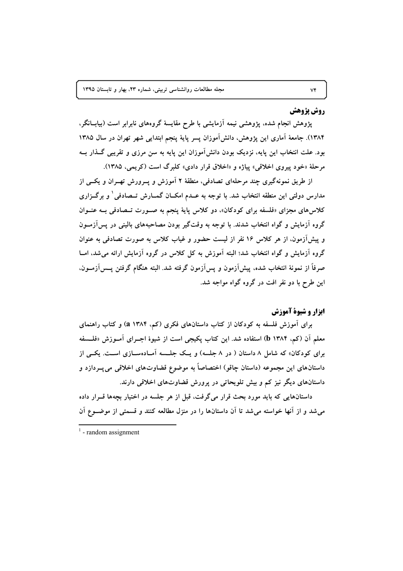## **روش پژوهش**

پژوهش انجام شده، پژوهشی نیمه آزمایشی با طرح مقایسهٔ گروههای نابرابر است (بیابــانگر، ۱۳۸۴). جامعهٔ آماری این یژوهش، دانش آموزان پسر پایهٔ پنجم ابتدایی شهر تهران در سال ۱۳۸۵ بود. علت انتخاب این پایه، نزدیک بودن دانش آموزان این پایه به سن مرزی و تقریبی گــذار بــه مرحلهٔ «خود پیروی اخلاقی» پیاژه و «اخلاق قرار دادی» کلبرگ است (کریمی، ۱۳۸۵).

از طریق نمونهگیری چند مرحلهای تصادفی، منطقهٔ ۲ آموزش و پــرورش تهــران و یکــی از مدارس دولتی این منطقه انتخاب شد. با توجه به عــدم امکــان گمــارش تــصادفی ٰ و برگــزاری کلاسهای مجزای «فلسفه برای کودکان»، دو کلاس پایهٔ پنجم به صورت تـصادفی بـه عنــوان گروه آزمایش و گواه انتخاب شدند. با توجه به وقتگیر بودن مصاحبههای بالینی در پسآزمـون و پیش آزمون، از هر کلاس ۱۶ نفر از لیست حضور و غیاب کلاس به صورت تصادفی به عنوان گروه آزمایش و گواه انتخاب شد؛ البته آموزش به کل کلاس در گروه آزمایش ارائه می شد، امــا صرفاً از نمونهٔ انتخاب شده، پیشآزمون و پسآزمون گرفته شد. البته هنگام گرفتن پـــسآزمـــون. این طرح با دو نفر افت در گروه گواه مواجه شد.

# ایزار و شیوهٔ آموزش

برای آموزش فلسفه به کودکان از کتاب داستانهای فکری (کم، ۱۳۸۴ a) و کتاب راهنمای معلم آن (کم، ۱۳۸۴ b) استفاده شد. این کتاب پکیجی است از شیوهٔ اجـرای آمـوزش «فلـسفه برای کودکان» که شامل ۸ داستان ( در ۸ جلسه) و یـک جلـسه آمـادهسـازی اسـت. یکـی از داستانهای این مجموعه (داستان چاقو) اختصاصاً به موضوع قضاوتهای اخلاقی می پــردازد و داستانهای دیگر نیز کم و بیش تلویحاتی در پرورش قضاوتهای اخلاقی دارند.

داستانهایی که باید مورد بحث قرار میگرفت، قبل از هر جلسه در اختیار بچهها قــرار داده می شد و از آنها خواسته می شد تا آن داستانها را در منزل مطالعه کنند و قسمتی از موضـوع آن

 $1$  - random assignment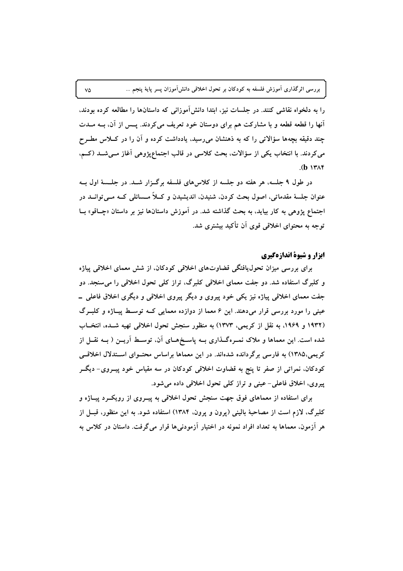را به دلخواه نقاشی کنند. در جلسات نیز، ابتدا دانش آموزانی که داستانها را مطالعه کرده بودند، آنها را قطعه قطعه و با مشارکت هم برای دوستان خود تعریف می کردند. پــس از آن، بــه مــدت چند دقیقه بچهها سؤالاتی را که به ذهنشان میرسید، یادداشت کرده و آن را در کــلاس مطــرح می کردند. با انتخاب یکی از سؤالات، بحث کلاسی در قالب اجتماعپژوهی آغاز مـیشـد (کـم،  $(b \text{ } \text{if } \lambda \infty)$ 

در طول ۹ جلسه، هر هفته دو جلسه از کلاس های فلسفه برگـزار شـد. در جلـسهٔ اول بــه عنوان جلسهٔ مقدماتي، اصول بحث کردن، شنيدن، انديشيدن و کـلاً مــسائلي کــه مــي توانــد در اجتماع یژوهی به کار بیاید، به بحث گذاشته شد. در آموزش داستانها نیز بر داستان «چــاقو» بــا توجه به محتوای اخلاقی قوی آن تأکید بیشتری شد.

## ایزار و شیوهٔ اندازهگیری

برای بررسی میزان تحول،یافتگی قضاوتهای اخلاقی کودکان، از شش معمای اخلاقی پیاژه و کلبرگ استفاده شد. دو جفت معمای اخلاقی کلبرگ، تراز کلی تحول اخلاقی را می سنجد. دو جفت معمای اخلاقی پیاژه نیز یکی خود پیروی و دیگر پیروی اخلاقی و دیگری اخلاق فاعلی \_ عینی را مورد بررسی قرار میدهند. این ۶ معما از دوازده معمایی کـه توسـط پیـاژه و کلبـرگ (۱۹۳۲ و ۱۹۶۹، به نقل از کریمی، ۱۳۷۳) به منظور سنجش تحول اخلاقی تهیه شـده، انتخـاب شده است. این معماها و ملاک نمـرهگـذاری بــه پاسـخهــای آن، توســط آریــن ( بــه نقــل از کریمی،۱۳۸۵) به فارسی برگردانده شدهاند. در این معماها براساس محتـوای اسـتدلال اخلاقـی کودکان، نمراتی از صفر تا پنج به قضاوت اخلاقی کودکان در سه مقیاس خود پیــروی- دیگــر پیروی، اخلاق فاعلی-عینی و تراز کلی تحول اخلاقی داده می شود.

برای استفاده از معماهای فوق جهت سنجش تحول اخلاقی به پیـروی از رویکــرد پیــاژه و کلبرگ، لازم است از مصاحبهٔ بالینی (یرون و پرون، ۱۳۸۴) استفاده شود. به این منظور، قبــل از هر آزمون، معماها به تعداد افراد نمونه در اختیار آزمودنیها قرار میگرفت. داستان در کلاس به

 $\vee \varphi$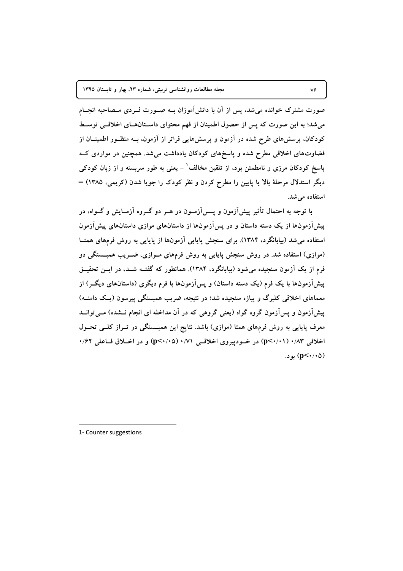صورت مشترک خوانده میشد، پس از آن با دانش[موزان بــه صــورت فــردی مــصاحبه انجــام می شد؛ به این صورت که پس از حصول اطمینان از فهم محتوای داستانهای اخلاقی توسط کودکان، پرسشهای طرح شده در آزمون و پرسشهایی فراتر از آزمون، بــه منظــور اطمینــان از قضاوتهای اخلاقی مطرح شده و پاسخهای کودکان یادداشت می شد. همچنین در مواردی ک یاسخ کودکان مرزی و نامطمئن بود، از تلقین مخالف ٔ – یعنی به طور سربسته و از زبان کودکی دیگر استدلال مرحلهٔ بالا یا پایین را مطرح کردن و نظر کودک را جویا شدن (کریمی، ۱۳۸۵) – استفاده مے شد.

با توجه به احتمال تأثیر پیشآزمون و پــسآزمــون در هــر دو گــروه آزمــایش و گــواه، در پیشآزمونها از یک دسته داستان و در پسآزمونها از داستانهای موازی داستانهای پیشآزمون استفاده می شد (بیابانگرد، ۱۳۸۴). برای سنجش پایایی آزمونها از پایایی به روش فرمهای همتــا (موازی) استفاده شد. در روش سنجش پایایی به روش فرمهای مـوازی، ضـریب همبــستگی دو فرم از یک آزمون سنجیده می شود (بیابانگرد، ۱۳۸۴). همانطور که گفتـه شــد، در ایــن تحقیــق پیشآزمونها با یک فرم (یک دسته داستان) و پسآزمونها با فرم دیگری (داستانهای دیگـر) از معماهای اخلاقی کلبرگ و پیاژه سنجیده شد؛ در نتیجه، ضریب همبستگی پیرسون (یک دامنــه) پیشآزمون و پسآزمون گروه گواه (یعنی گروهی که در آن مداخله ای انجام نـــشده) مــیتوانــد معرف پایایی به روش فرمهای همتا (موازی) باشد. نتایج این همبــستگی در تــراز کلــی تحــول اخلاقی ۰/۸۳ (p<۰/۰۱) در خــودییروی اخلاقــی ۰/۷۱ (p<۰/۰۵) و در اخــلاق فــاعلی ۰/۶۲ (p<٠/٠۵) بود.

1- Counter suggestions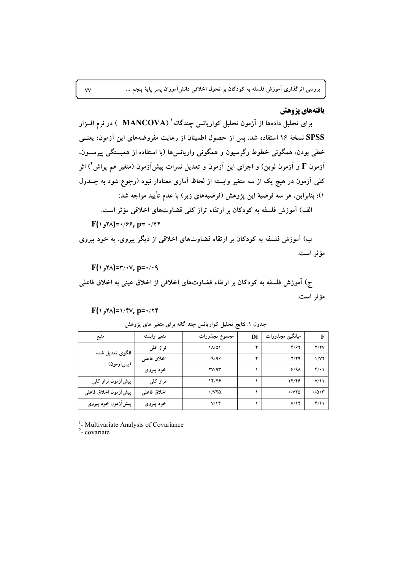## يافتههاي يژوهش

برای تحلیل دادهها از آزمون تحلیل کواریانس چندگانه' (MANCOVA ) در نرم افــزار SPSS نسخهٔ ۱۶ استفاده شد. پس از حصول اطمینان از رعایت مفروضههای این آزمون؛ یعنــی خطی بودن، همگونی خطوط رگرسیون و همگونی واریانس ها (با استفاده از همبستگی پیرســون، آزمون F و آزمون لوین) و اجرای این آزمون و تعدیل نمرات پیشآزمون (متغیر هم پراش<sup>۲</sup>) اثر کلی آزمون در هیچ یک از سه متغیر وابسته از لحاظ آماری معنادار نبود (رجوع شود به جـــدول ١)؛ بنابراین، هر سه فرضیهٔ این پژوهش (فرضیههای زیر) با عدم تأیید مواجه شد: الف) آموزش فلسفه به کودکان بر ارتقاء تراز کلی قضاوتهای اخلاقی مؤثر است.

 $F(\gamma, \gamma) = \gamma/6$ , p=  $\gamma$ 

ب) آموزش فلسفه به کودکان بر ارتقاء قضاوتهای اخلاقی از دیگر پیروی، به خود پیروی مؤثر است.

 $F(\Upsilon, \Upsilon^* = \Upsilon \wedge \Upsilon^* = \Upsilon \wedge \Upsilon$ /۰۷, p=۰/۰۹

ج) آموزش فلسفه به كودكان بر ارتقاء قضاوتهاى اخلاقى از اخلاق عينى به اخلاق فاعلى مؤثر است.

### $F(\wedge_{\sigma} \wedge) = \wedge \wedge \vee \vee \vee$ , p=  $\wedge \wedge \vee \vee$

| منبع                   | متغير وابسته | مجموع مجذورات            | Df | ميانگين مجذورات          | F          |
|------------------------|--------------|--------------------------|----|--------------------------|------------|
| الگوی تعدیل شده        | تراز کلی     | $1\Lambda/\Delta1$       | ۴  | 4/87                     | Y/YV       |
| (پسآزمون)              | اخلاق فاعلى  | 9/99                     | ۴  | Y/YQ                     | 1/VI       |
|                        | خود پیروی    | YV/9Y                    |    | $9/9\lambda$             | $Y(\cdot)$ |
| پیشآزمون تراز کلبی     | تراز کلی     | 14/46                    |    | 14/46                    | V/11       |
| پیش أزمون اخلاق فاعلمی | اخلاق فاعلى  | $\cdot$ / $\vee$ $\circ$ |    | $\cdot$ / $\vee$ $\circ$ | .70.7      |
| پیشآزمون خود پیروی     | خود پیروی    | V/Y                      |    | V/Y                      | f/11       |

جدول ۱. نتایج تحلیل کواریانس چند گانه برای متغیر های پژوهش

<sup>1</sup>- Multivariate Analysis of Covariance

 $2$ -covariate

 $\mathsf{v}\mathsf{v}$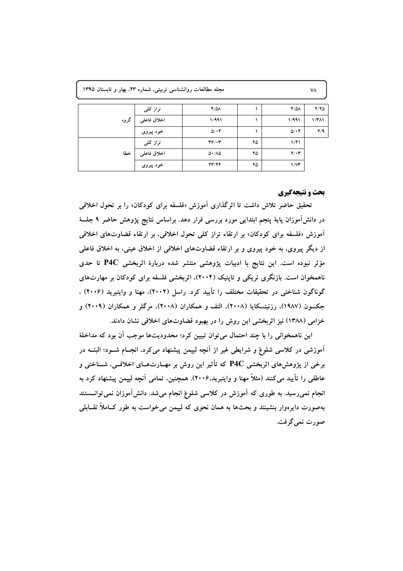| مجله مطالعات روانشناسی تربیتی، شماره ۲۳، بهار و تابستان ۱۳۹۵ |  |  |  |
|--------------------------------------------------------------|--|--|--|
|--------------------------------------------------------------|--|--|--|

| گروه | تراز کلی    | $Y/\Delta\Lambda$               |    | $Y/\Delta\Lambda$ | Y/YQ         |
|------|-------------|---------------------------------|----|-------------------|--------------|
|      | اخلاق فاعلى | 1/991                           |    | 1/991             | $1/T\Lambda$ |
|      | خود پیروی   | $\Delta/\cdot$ ۴                |    | $\Delta/\cdot$ ۴  | Y/9          |
| خطا  | تراز کلی    | $\mathbf{Y}$ $\mathbf{Y}$       | ۲۵ | 1/f1              |              |
|      | اخلاق فاعلى | $\Delta \cdot / \Lambda \Delta$ | ۲۵ | $Y/\cdot Y$       |              |
|      | خود پیروی   | 44/46                           | ۲۵ | $1/\gamma$ ۳      |              |

## **بحث و نتیجهگیری**

تحقیق حاضر تلاش داشت تا اثرگذاری اَموزش «فلسفه برای کودکان» را بر تحول اخلاقی در دانش[موزان پایهٔ پنجم ابتدایی مورد بررسی قرار دهد. براساس نتایج پژوهش حاضر ۹ جلسهٔ آموزش «فلسفه برای کودکان» بر ارتقاء تراز کلی تحول اخلاقی، بر ارتقاء قضاوتهای اخلاقی از دیگر پیروی، به خود پیروی و بر ارتقاء قضاوتهای اخلاقی از اخلاق عینی، به اخلاق فاعلی مؤثر نبوده است. این نتایج با ادبیات پژوهشی منتشر شده دربارهٔ اثربخشی P4C تا حدی ناهمخوان است. بازنگری تریکی و تاپنیک (۲۰۰۴)، اثربخشی فلسفه برای کودکان بر مهارتهای گوناگون شناختی در تحقیقات مختلف را تأیید کرد. راسل (۲۰۰۲)، مهتا و وایتبرید (۲۰۰۶) ، جکسون (۱۹۸۷)، رزنیتسکایا (۲۰۰۸)، التف و همکاران (۲۰۰۸)، مرگلر و همکاران (۲۰۰۹) و خزامی (۱۳۸۸) نیز اثربخشی این روش را در بهبود قضاوتهای اخلاقی نشان دادند.

این ناهمخوانی را با چند احتمال می توان تبیین کرد؛ محدودیتها موجب آن بود که مداخلهٔ آموزشی در کلاسی شلوغ و شرایطی غیر از آنچه لیپمن پیشنهاد می کرد، انجــام شــود؛ البتــه در برخی از پژوهشهای اثربخشی P4C که تأثیر این روش بر مهــارتهــای اخلاقــی، شــناختی و عاطفی را تأیید می کنند (مثلاً مهتا و وایتبرید.۲۰۰۶). همچنین، تمامی آنچه لیپمن پیشنهاد کرد به انجام نمیررسید. به طوری که آموزش در کلاسی شلوغ انجام میشد. دانش آموزان نمی توانسستند بهصورت دایرهوار بنشینند و بحثها به همان نحوی که لیپمن می خواست به طور کــاملاً تقــابلی صورت نمي گرفت.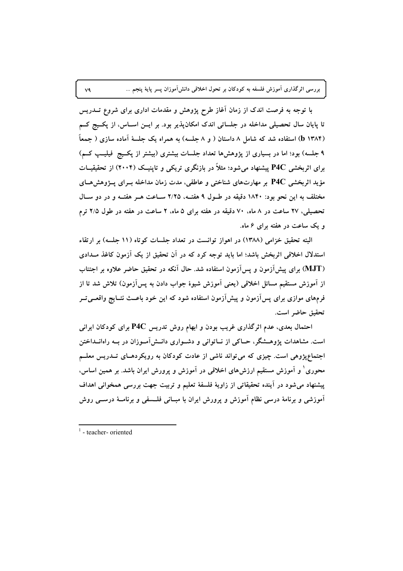با توجه به فرصت اندک از زمان آغاز طرح پژوهش و مقدمات اداری برای شروع تـــدریس تا پایان سال تحصیلی مداخله در جلساتی اندک امکانپذیر بود. بر ایــن اســاس، از پکــیج کــم (b ۱۳۸۴) استفاده شد که شامل ۸ داستان ( و ۸ جلسه) به همراه یک جلسهٔ آماده سازی ( جمعاً ۹ جلسه) بود؛ اما در بسیاری از پژوهشها تعداد جلسات بیشتری (بیشتر از پکـیج فیلیـپ کـم) برای اثربخشی P4C پیشنهاد می شود؛ مثلاً در بازنگری تریکی و تاپنیک (۲۰۰۴) از تحقیقیــات مؤید اثربخشی P4C بر مهارتهای شناختی و عاطفی، مدت زمان مداخله بــرای پـــژوهش هــای مختلف به این نحو بود: ۱۸۴۰ دقیقه در طـول ۹ هفتــه، ۲/۲۵ ســاعت هــر هفتــه و در دو ســال تحصیلی، ۲۷ ساعت در ۸ ماه، ۷۰ دقیقه در هفته برای ۵ ماه، ۲ ساعت در هفته در طول ۲/۵ ترم و یک ساعت در هفته برای ۶ ماه.

البته تحقیق خزامی (۱۳۸۸) در اهواز توانست در تعداد جلسات کوتاه (۱۱ جلسه) بر ارتقاء استدلال اخلاقی اثربخش باشد؛ اما باید توجه کرد که در آن تحقیق از یک آزمون کاغذ مــدادی (MJT) برای پیشآزمون و پسآزمون استفاده شد. حال آنکه در تحقیق حاضر علاوه بر اجتناب از آموزش مستقیم مسائل اخلاقی (یعنی آموزش شیوهٔ جواب دادن به پسآزمون) تلاش شد تا از فرمهای موازی برای پسآزمون و پیشآزمون استفاده شود که این خود باعــث نتــایج واقعــیتــر تحقيق حاضر است.

احتمال بعدی، عدم اثرگذاری غریب بودن و ابهام روش تدریس P4C برای کودکان ایرانی است. مشاهدات پژوهــشگر، حــاکی از نــاتوانی و دشــواری دانــشآمــوزان در بــه راهانــداختن اجتماعپژوهی است. چیزی که می تواند ناشی از عادت کودکان به رویکردهـای تــدریس معلــم محوری ٰ و آموزش مستقیم ارزش های اخلاقی در آموزش و پرورش ایران باشد. بر همین اساس، پیشنهاد می شود در آینده تحقیقاتی از زاویهٔ فلسفهٔ تعلیم و تربیت جهت بررسی همخوانی اهداف آموزشی و برنامهٔ درسی نظام آموزش و پرورش ایران با مبــانی فلــسفی و برنامــهٔ درســی روش

 $V<sup>q</sup>$ 

 $1$  - teacher- oriented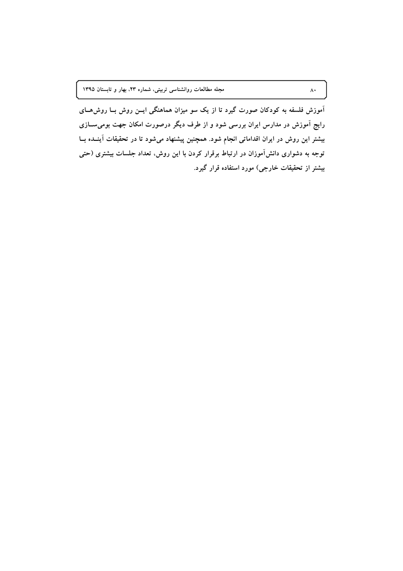آموزش فلسفه به کودکان صورت گیرد تا از یک سو میزان هماهنگی ایــن روش بــا روش۵ـــای رایج آموزش در مدارس ایران بررسی شود و از طرف دیگر درصورت امکان جهت بومی ســازی بیشتر این روش در ایران اقداماتی انجام شود. همچنین پیشنهاد میشود تا در تحقیقات آینــده بــا توجه به دشواری دانشآموزان در ارتباط برقرار کردن با این روش، تعداد جلسات بیشتری (حتی بیشتر از تحقیقات خارجی) مورد استفاده قرار گیرد.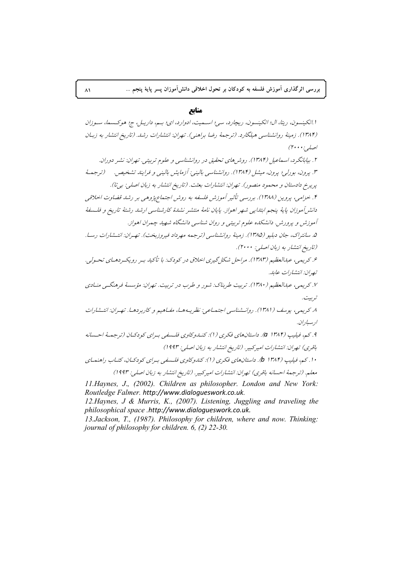منابع

ا انكينسون، ريتا، ال؛ اتكينسون، ريچارد، سي؛ اسـميت، ادوارد، اي؛ بـم، داريـل، ج؛ هوكـسما، سـوزان (۱۳۸۴). زمینهٔ روانشناسی هیلگارد. (ترجمهٔ رضا براهنی). تهران: انتشارات رشد. (تاریخ انتشار به زبیان اصلبی:۲۰۰۰)

۲. پیابانگر د، اسماعیل (۱۳۸۴). روش های تحقیق در روانشناسی و علوم تربیتی. تهران: نشیر دوران. ۳. پرون، بورلي؛ پرون، ميشل (۱۳۸۴). روانشناسي باليني: آزمايش باليني و فرايند تشخيص. (ترجمهٔ پریرخ دادستان و محمود منصور). تهران: انتشارات بعثت. (تاریخ انتشار به زبان اصلی: بی"ا). ۴. خزامی، پروین (۱۳۸۸). بررسی تأثیر آموزش فلسفه به روش اجتماعپژوهی بر رشد قضاوت اخلاقی دانشر آموزان پايهٔ پنجم ابتدايي شهر اهواز. پايان نامهٔ منتشر نشدهٔ كارشناسي ارشد رشتهٔ تاريخ و فلـسفهٔ آموزش و پرورش. دانشکده علوم تربیتی و روان شناسی دانشگاه شهید چمران اهواز. ۵. سانتراک، جان دبلیو (۱۳۸۵). زمینهٔ روانشناسی (ترجمه مهرداد فیروزیخت). تهران: انتشارات رسا. (تاریخ انتشار به زبان اصلی: ۲۰۰۰). ۶. کریمی، عبدالعظیم (۱۳۸۳). مراحل شکل گیری اخلاق در کودک: با تأکید بیر رویک ردهای تحسولی. تصران: انتشارات عابله. ۷. کریمی، عبدالعظیم (۱۳۸۰). تربیت طربناک: شور و طرب در تربیت. تهران: مؤسسهٔ فرهنگـی منـادی تىر بىت. ٨. كريمه، يوسف (١٣٨١). روانسشناسي اجتماعه. نظر يـه هـا، مفياهيم و كاربر دهيا. تهيران: انتسشارات ارسباران. ۹. كم، فيليپ (۱۳۸۴ a). داستان هاي فكري (1): كنــاوكاوي فلـسفى بـراي كودكـان (ترجمـهٔ احـسانه باقري) تهران: انتشارات امير كبير . (تاريخ انتشار به زبان اصلي: ١٩٩٣) ۱۰. کم، فیلیپ (۱۳۸۴ b). داستانهای فکری (۱): کندوکاوی فلسفی برای کودکـان، کتـاب راهنمـای معلم. (ترجمهٔ احسانه باقری) تهران: انتشارات امیرکبیر. (تاریخ انتشار به زبان اصلی: ۱۹۹۳)

11. Haynes, J., (2002). Children as philosopher. London and New York: Routledge Falmer. http://www.dialoqueswork.co.uk.

12. Haynes, J & Murris, K., (2007). Listening, Juggling and traveling the philosophical space .http://www.dialogueswork.co.uk.

13. Jackson, T., (1987). Philosophy for children, where and now. Thinking: journal of philosophy for children. 6, (2) 22-30.

 $\lambda$